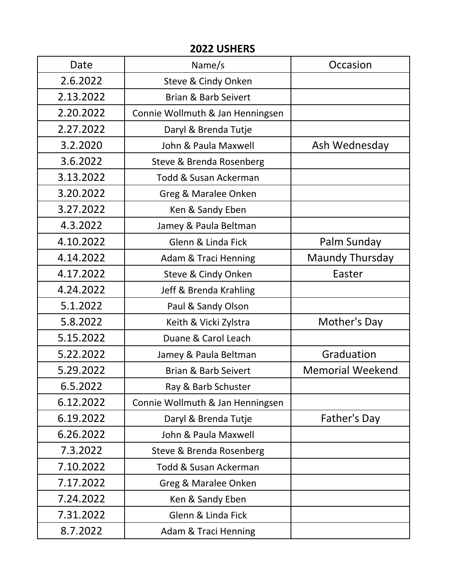## **2022 USHERS**

| Date      | Name/s                           | Occasion                |
|-----------|----------------------------------|-------------------------|
| 2.6.2022  | Steve & Cindy Onken              |                         |
| 2.13.2022 | <b>Brian &amp; Barb Seivert</b>  |                         |
| 2.20.2022 | Connie Wollmuth & Jan Henningsen |                         |
| 2.27.2022 | Daryl & Brenda Tutje             |                         |
| 3.2.2020  | John & Paula Maxwell             | Ash Wednesday           |
| 3.6.2022  | Steve & Brenda Rosenberg         |                         |
| 3.13.2022 | <b>Todd &amp; Susan Ackerman</b> |                         |
| 3.20.2022 | Greg & Maralee Onken             |                         |
| 3.27.2022 | Ken & Sandy Eben                 |                         |
| 4.3.2022  | Jamey & Paula Beltman            |                         |
| 4.10.2022 | Glenn & Linda Fick               | Palm Sunday             |
| 4.14.2022 | <b>Adam &amp; Traci Henning</b>  | <b>Maundy Thursday</b>  |
| 4.17.2022 | Steve & Cindy Onken              | Easter                  |
| 4.24.2022 | Jeff & Brenda Krahling           |                         |
| 5.1.2022  | Paul & Sandy Olson               |                         |
| 5.8.2022  | Keith & Vicki Zylstra            | Mother's Day            |
| 5.15.2022 | Duane & Carol Leach              |                         |
| 5.22.2022 | Jamey & Paula Beltman            | Graduation              |
| 5.29.2022 | <b>Brian &amp; Barb Seivert</b>  | <b>Memorial Weekend</b> |
| 6.5.2022  | Ray & Barb Schuster              |                         |
| 6.12.2022 | Connie Wollmuth & Jan Henningsen |                         |
| 6.19.2022 | Daryl & Brenda Tutje             | Father's Day            |
| 6.26.2022 | John & Paula Maxwell             |                         |
| 7.3.2022  | Steve & Brenda Rosenberg         |                         |
| 7.10.2022 | Todd & Susan Ackerman            |                         |
| 7.17.2022 | Greg & Maralee Onken             |                         |
| 7.24.2022 | Ken & Sandy Eben                 |                         |
| 7.31.2022 | Glenn & Linda Fick               |                         |
| 8.7.2022  | <b>Adam &amp; Traci Henning</b>  |                         |